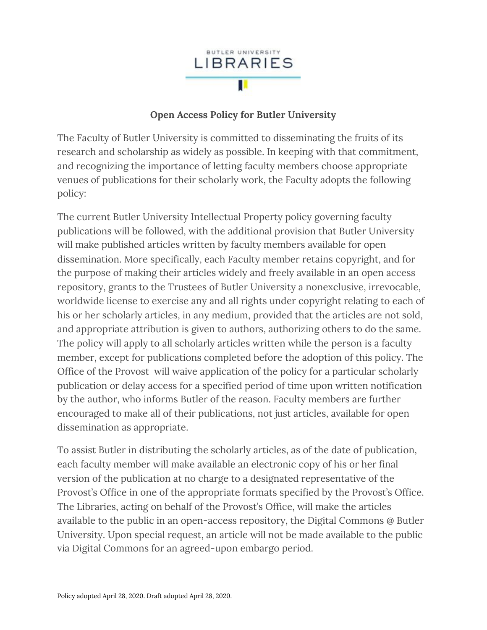

## **Open Access Policy for Butler University**

The Faculty of Butler University is committed to disseminating the fruits of its research and scholarship as widely as possible. In keeping with that commitment, and recognizing the importance of letting faculty members choose appropriate venues of publications for their scholarly work, the Faculty adopts the following policy:

The current Butler University Intellectual Property policy governing faculty publications will be followed, with the additional provision that Butler University will make published articles written by faculty members available for open dissemination. More specifically, each Faculty member retains copyright, and for the purpose of making their articles widely and freely available in an open access repository, grants to the Trustees of Butler University a nonexclusive, irrevocable, worldwide license to exercise any and all rights under copyright relating to each of his or her scholarly articles, in any medium, provided that the articles are not sold, and appropriate attribution is given to authors, authorizing others to do the same. The policy will apply to all scholarly articles written while the person is a faculty member, except for publications completed before the adoption of this policy. The Office of the Provost will waive application of the policy for a particular scholarly publication or delay access for a specified period of time upon written notification by the author, who informs Butler of the reason. Faculty members are further encouraged to make all of their publications, not just articles, available for open dissemination as appropriate.

To assist Butler in distributing the scholarly articles, as of the date of publication, each faculty member will make available an electronic copy of his or her final version of the publication at no charge to a designated representative of the Provost's Office in one of the appropriate formats specified by the Provost's Office. The Libraries, acting on behalf of the Provost's Office, will make the articles available to the public in an open-access repository, the Digital Commons @ Butler University. Upon special request, an article will not be made available to the public via Digital Commons for an agreed-upon embargo period.